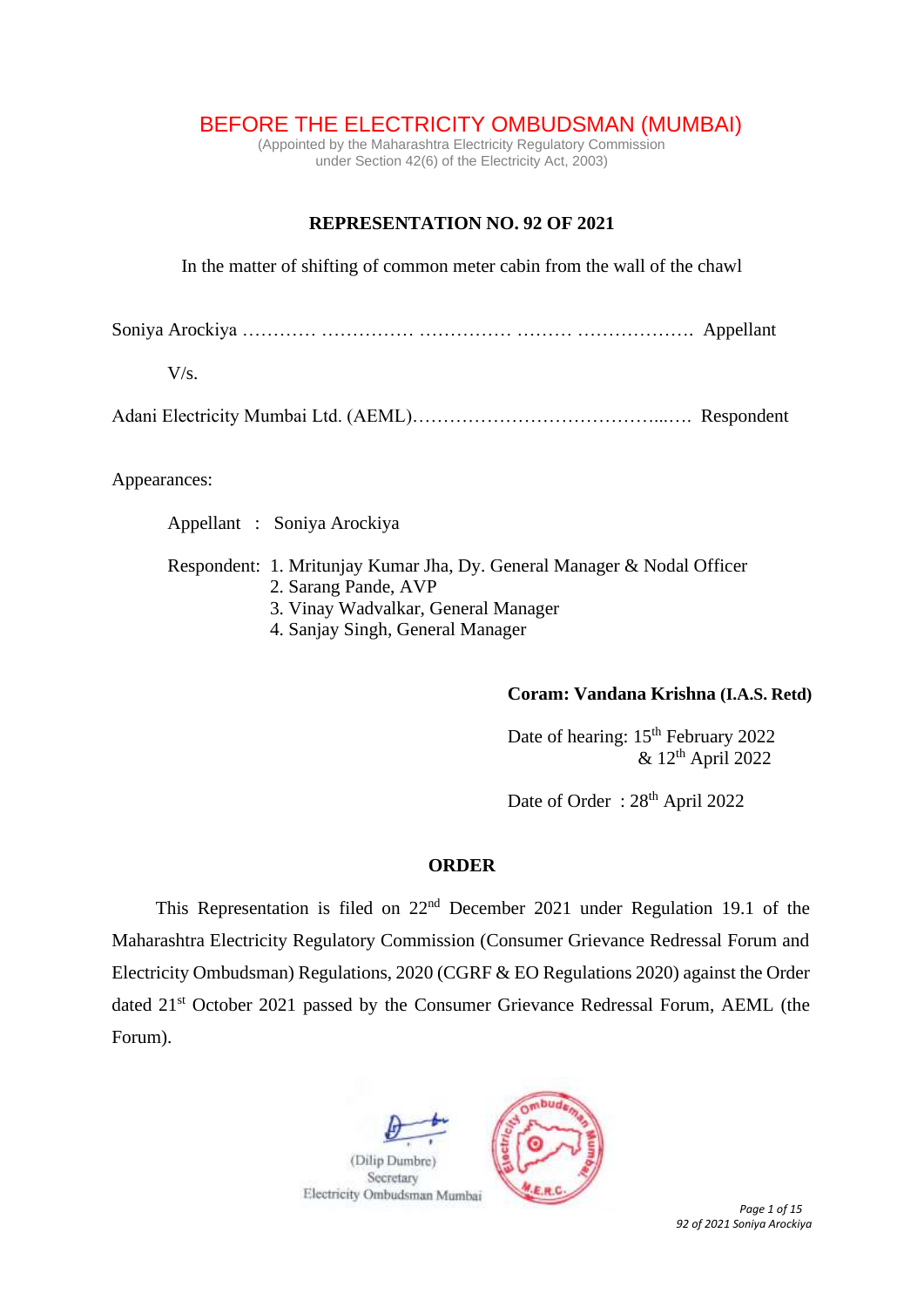# BEFORE THE ELECTRICITY OMBUDSMAN (MUMBAI)

(Appointed by the Maharashtra Electricity Regulatory Commission under Section 42(6) of the Electricity Act, 2003)

## **REPRESENTATION NO. 92 OF 2021**

In the matter of shifting of common meter cabin from the wall of the chawl

Soniya Arockiya ………… …………… …………… ……… ………………. Appellant

 $V/s$ .

|--|--|--|

Appearances:

Appellant : Soniya Arockiya

Respondent: 1. Mritunjay Kumar Jha, Dy. General Manager & Nodal Officer 2. Sarang Pande, AVP

- 3. Vinay Wadvalkar, General Manager
- 4. Sanjay Singh, General Manager

# **Coram: Vandana Krishna (I.A.S. Retd)**

Date of hearing:  $15<sup>th</sup>$  February 2022  $& 12$ <sup>th</sup> April 2022

Date of Order: 28<sup>th</sup> April 2022

#### **ORDER**

This Representation is filed on 22<sup>nd</sup> December 2021 under Regulation 19.1 of the Maharashtra Electricity Regulatory Commission (Consumer Grievance Redressal Forum and Electricity Ombudsman) Regulations, 2020 (CGRF & EO Regulations 2020) against the Order dated 21<sup>st</sup> October 2021 passed by the Consumer Grievance Redressal Forum, AEML (the Forum).

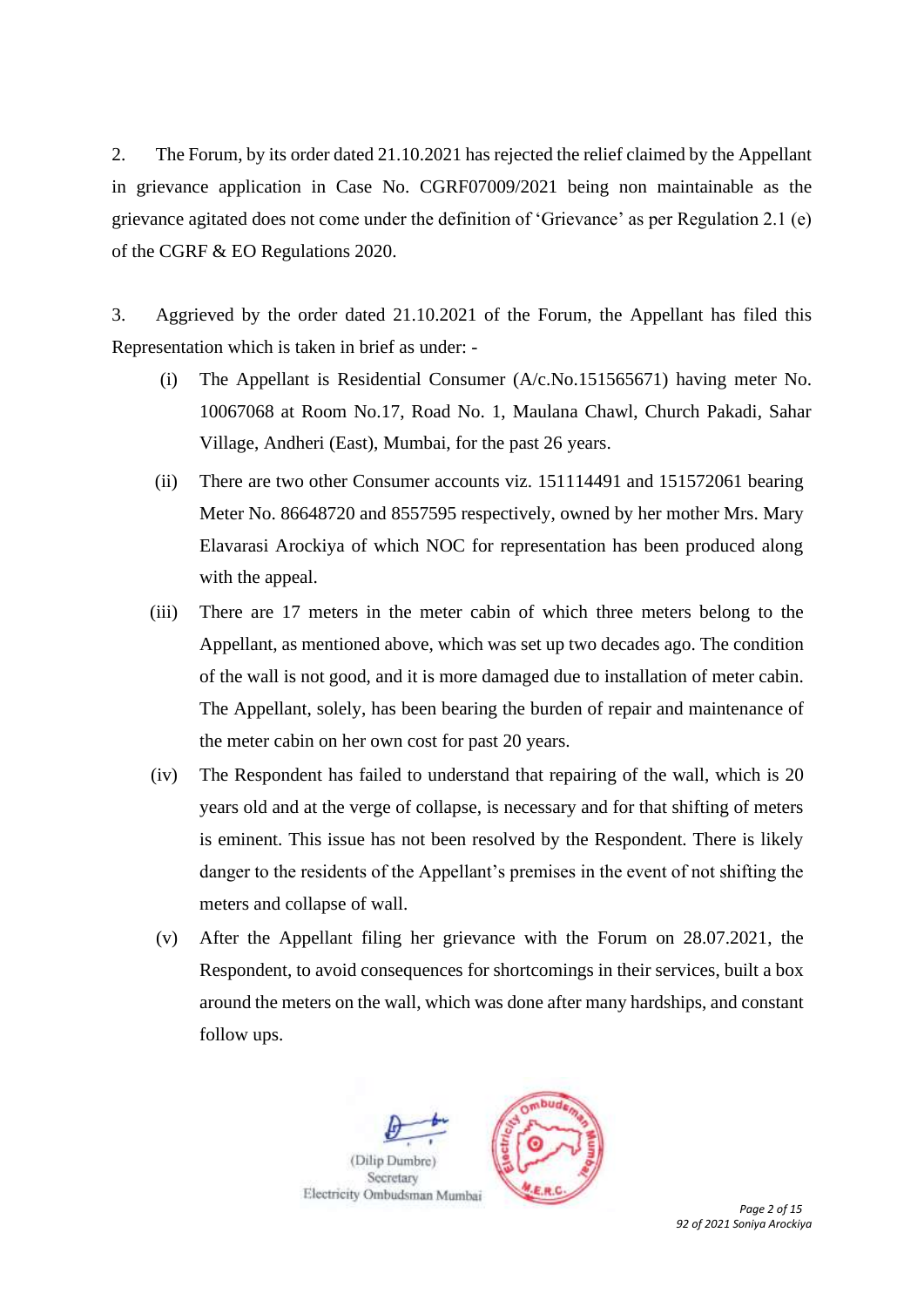2. The Forum, by its order dated 21.10.2021 has rejected the relief claimed by the Appellant in grievance application in Case No. CGRF07009/2021 being non maintainable as the grievance agitated does not come under the definition of 'Grievance' as per Regulation 2.1 (e) of the CGRF & EO Regulations 2020.

3. Aggrieved by the order dated 21.10.2021 of the Forum, the Appellant has filed this Representation which is taken in brief as under: -

- (i) The Appellant is Residential Consumer (A/c.No.151565671) having meter No. 10067068 at Room No.17, Road No. 1, Maulana Chawl, Church Pakadi, Sahar Village, Andheri (East), Mumbai, for the past 26 years.
- (ii) There are two other Consumer accounts viz. 151114491 and 151572061 bearing Meter No. 86648720 and 8557595 respectively, owned by her mother Mrs. Mary Elavarasi Arockiya of which NOC for representation has been produced along with the appeal.
- (iii) There are 17 meters in the meter cabin of which three meters belong to the Appellant, as mentioned above, which was set up two decades ago. The condition of the wall is not good, and it is more damaged due to installation of meter cabin. The Appellant, solely, has been bearing the burden of repair and maintenance of the meter cabin on her own cost for past 20 years.
- (iv) The Respondent has failed to understand that repairing of the wall, which is 20 years old and at the verge of collapse, is necessary and for that shifting of meters is eminent. This issue has not been resolved by the Respondent. There is likely danger to the residents of the Appellant's premises in the event of not shifting the meters and collapse of wall.
- (v) After the Appellant filing her grievance with the Forum on 28.07.2021, the Respondent, to avoid consequences for shortcomings in their services, built a box around the meters on the wall, which was done after many hardships, and constant follow ups.

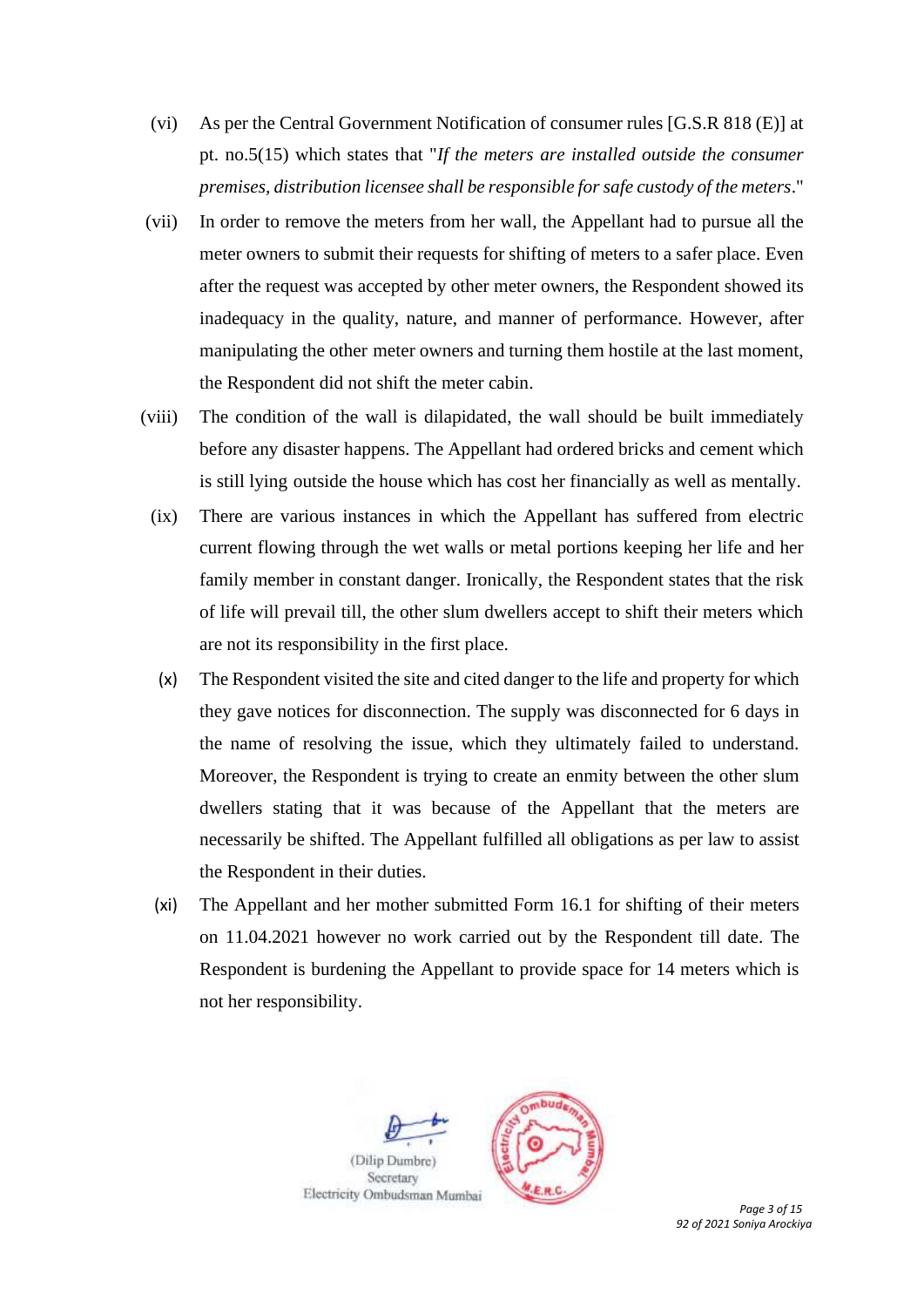- (vi) As per the Central Government Notification of consumer rules [G.S.R 818 (E)] at pt. no.5(15) which states that "*If the meters are installed outside the consumer premises, distribution licensee shall be responsible for safe custody of the meters*."
- (vii) In order to remove the meters from her wall, the Appellant had to pursue all the meter owners to submit their requests for shifting of meters to a safer place. Even after the request was accepted by other meter owners, the Respondent showed its inadequacy in the quality, nature, and manner of performance. However, after manipulating the other meter owners and turning them hostile at the last moment, the Respondent did not shift the meter cabin.
- (viii) The condition of the wall is dilapidated, the wall should be built immediately before any disaster happens. The Appellant had ordered bricks and cement which is still lying outside the house which has cost her financially as well as mentally.
	- (ix) There are various instances in which the Appellant has suffered from electric current flowing through the wet walls or metal portions keeping her life and her family member in constant danger. Ironically, the Respondent states that the risk of life will prevail till, the other slum dwellers accept to shift their meters which are not its responsibility in the first place.
	- (x) The Respondent visited the site and cited danger to the life and property for which they gave notices for disconnection. The supply was disconnected for 6 days in the name of resolving the issue, which they ultimately failed to understand. Moreover, the Respondent is trying to create an enmity between the other slum dwellers stating that it was because of the Appellant that the meters are necessarily be shifted. The Appellant fulfilled all obligations as per law to assist the Respondent in their duties.
	- (xi) The Appellant and her mother submitted Form 16.1 for shifting of their meters on 11.04.2021 however no work carried out by the Respondent till date. The Respondent is burdening the Appellant to provide space for 14 meters which is not her responsibility.

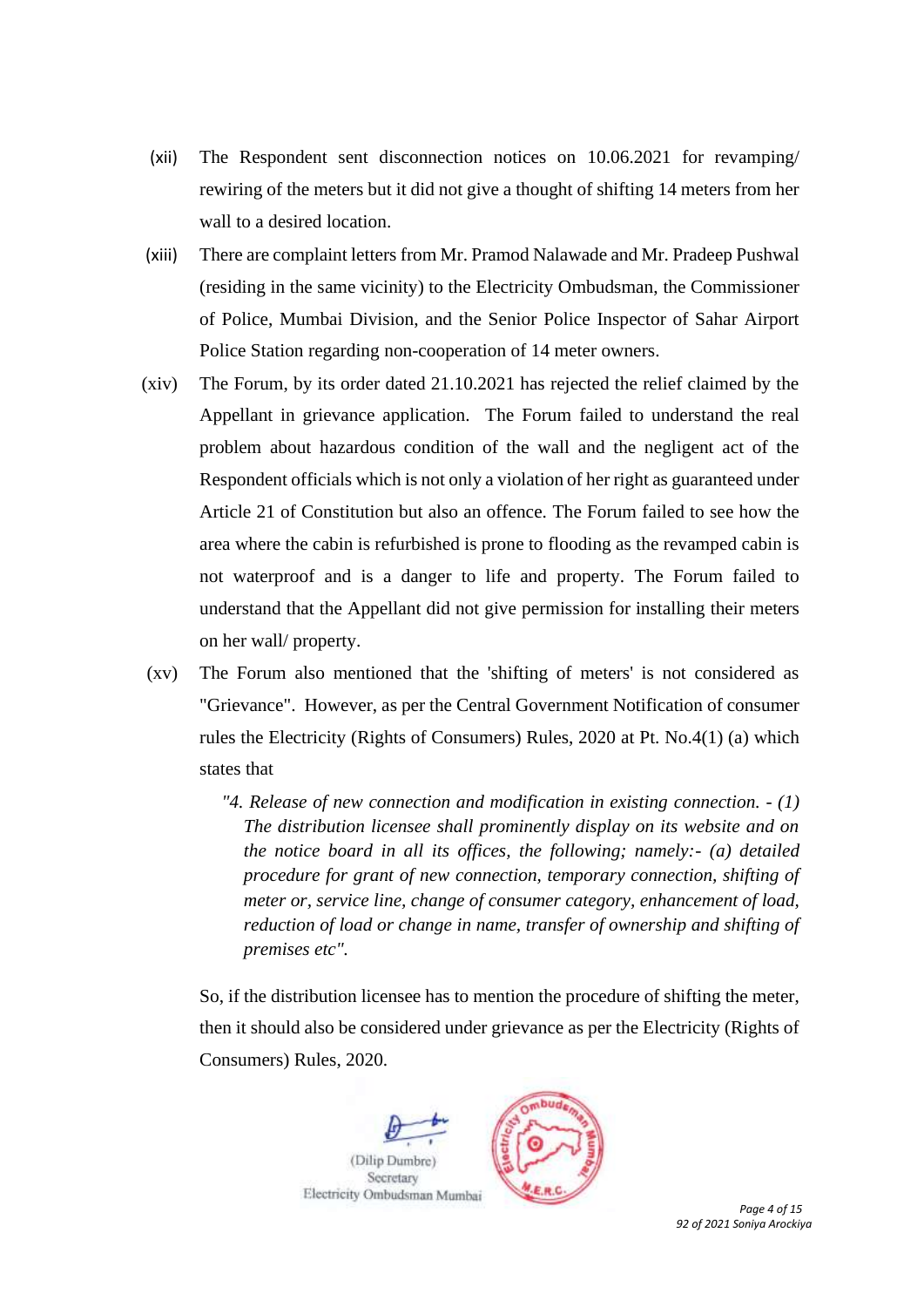- (xii) The Respondent sent disconnection notices on 10.06.2021 for revamping/ rewiring of the meters but it did not give a thought of shifting 14 meters from her wall to a desired location.
- (xiii) There are complaint letters from Mr. Pramod Nalawade and Mr. Pradeep Pushwal (residing in the same vicinity) to the Electricity Ombudsman, the Commissioner of Police, Mumbai Division, and the Senior Police Inspector of Sahar Airport Police Station regarding non-cooperation of 14 meter owners.
- (xiv) The Forum, by its order dated 21.10.2021 has rejected the relief claimed by the Appellant in grievance application. The Forum failed to understand the real problem about hazardous condition of the wall and the negligent act of the Respondent officials which is not only a violation of her right as guaranteed under Article 21 of Constitution but also an offence. The Forum failed to see how the area where the cabin is refurbished is prone to flooding as the revamped cabin is not waterproof and is a danger to life and property. The Forum failed to understand that the Appellant did not give permission for installing their meters on her wall/ property.
- (xv) The Forum also mentioned that the 'shifting of meters' is not considered as "Grievance". However, as per the Central Government Notification of consumer rules the Electricity (Rights of Consumers) Rules, 2020 at Pt. No.4(1) (a) which states that
	- *"4. Release of new connection and modification in existing connection. - (1) The distribution licensee shall prominently display on its website and on the notice board in all its offices, the following; namely:- (a) detailed procedure for grant of new connection, temporary connection, shifting of meter or, service line, change of consumer category, enhancement of load, reduction of load or change in name, transfer of ownership and shifting of premises etc".*

So, if the distribution licensee has to mention the procedure of shifting the meter, then it should also be considered under grievance as per the Electricity (Rights of Consumers) Rules, 2020.

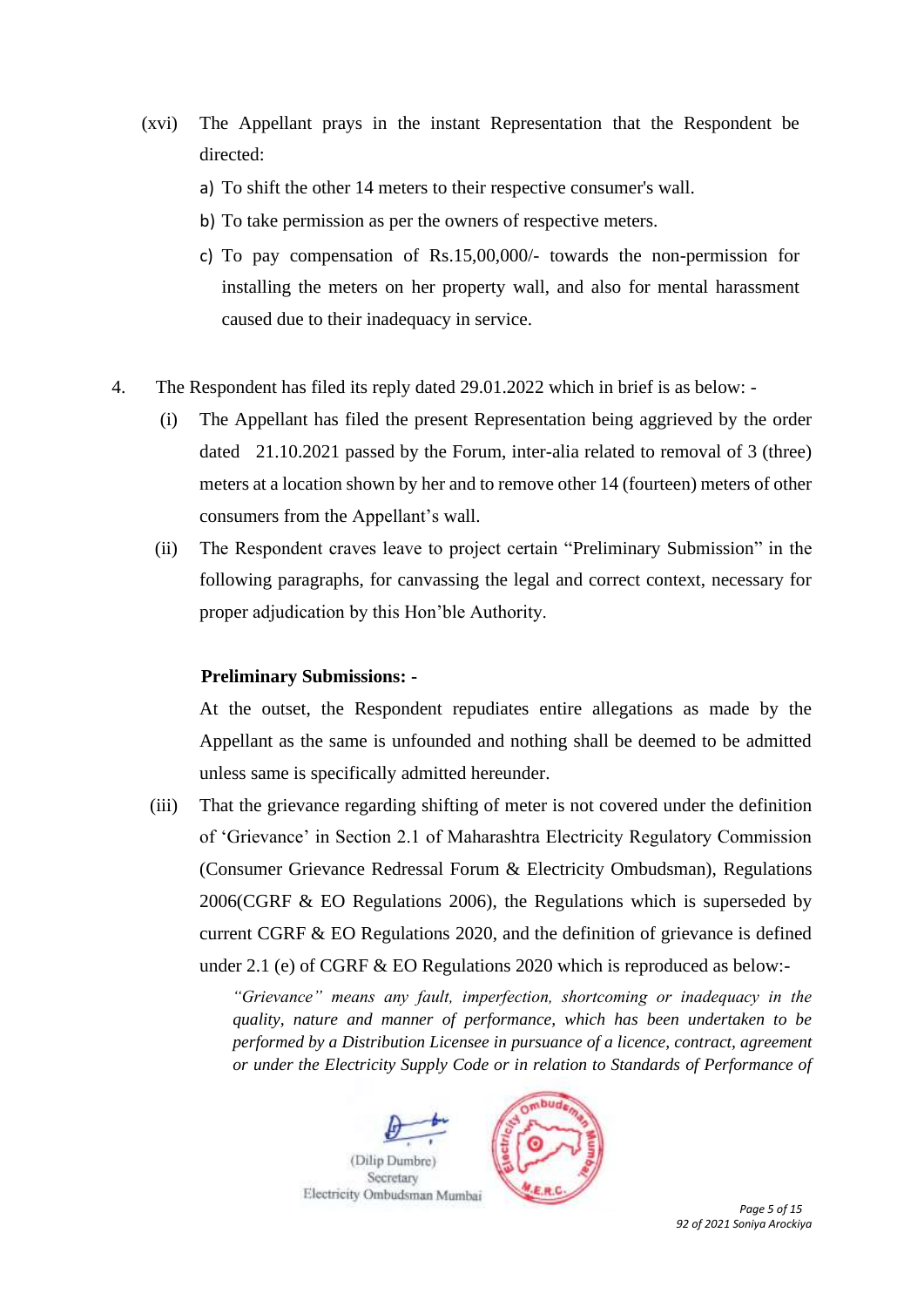- (xvi) The Appellant prays in the instant Representation that the Respondent be directed:
	- a) To shift the other 14 meters to their respective consumer's wall.
	- b) To take permission as per the owners of respective meters.
	- c) To pay compensation of Rs.15,00,000/- towards the non-permission for installing the meters on her property wall, and also for mental harassment caused due to their inadequacy in service.
- 4. The Respondent has filed its reply dated 29.01.2022 which in brief is as below:
	- (i) The Appellant has filed the present Representation being aggrieved by the order dated 21.10.2021 passed by the Forum, inter-alia related to removal of 3 (three) meters at a location shown by her and to remove other 14 (fourteen) meters of other consumers from the Appellant's wall.
	- (ii) The Respondent craves leave to project certain "Preliminary Submission" in the following paragraphs, for canvassing the legal and correct context, necessary for proper adjudication by this Hon'ble Authority.

#### **Preliminary Submissions: -**

At the outset, the Respondent repudiates entire allegations as made by the Appellant as the same is unfounded and nothing shall be deemed to be admitted unless same is specifically admitted hereunder.

(iii) That the grievance regarding shifting of meter is not covered under the definition of 'Grievance' in Section 2.1 of Maharashtra Electricity Regulatory Commission (Consumer Grievance Redressal Forum & Electricity Ombudsman), Regulations 2006(CGRF & EO Regulations 2006), the Regulations which is superseded by current CGRF & EO Regulations 2020, and the definition of grievance is defined under 2.1 (e) of CGRF & EO Regulations 2020 which is reproduced as below:-

> *"Grievance" means any fault, imperfection, shortcoming or inadequacy in the quality, nature and manner of performance, which has been undertaken to be performed by a Distribution Licensee in pursuance of a licence, contract, agreement or under the Electricity Supply Code or in relation to Standards of Performance of*

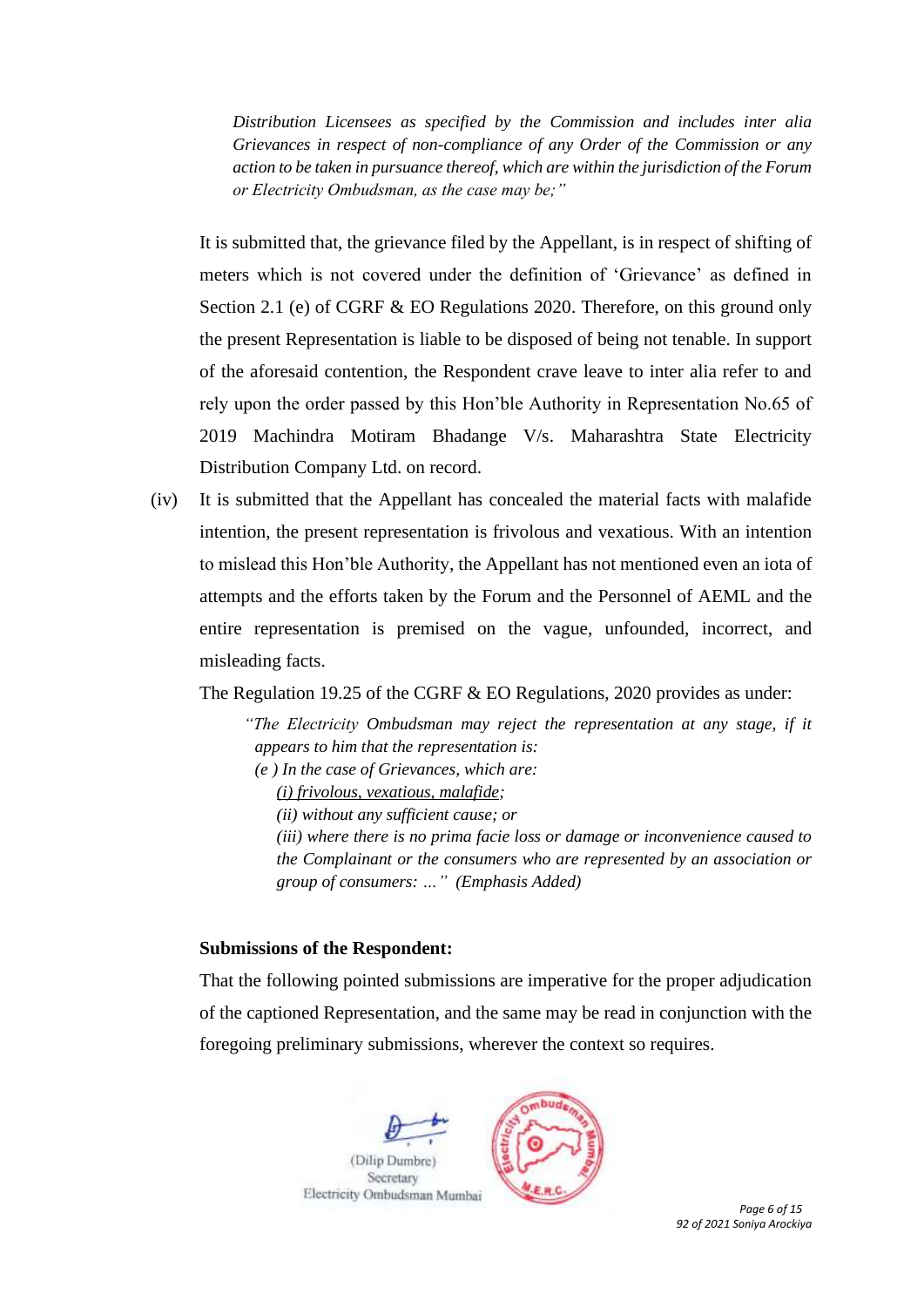*Distribution Licensees as specified by the Commission and includes inter alia Grievances in respect of non-compliance of any Order of the Commission or any action to be taken in pursuance thereof, which are within the jurisdiction of the Forum or Electricity Ombudsman, as the case may be;"* 

It is submitted that, the grievance filed by the Appellant, is in respect of shifting of meters which is not covered under the definition of 'Grievance' as defined in Section 2.1 (e) of CGRF & EO Regulations 2020. Therefore, on this ground only the present Representation is liable to be disposed of being not tenable. In support of the aforesaid contention, the Respondent crave leave to inter alia refer to and rely upon the order passed by this Hon'ble Authority in Representation No.65 of 2019 Machindra Motiram Bhadange V/s. Maharashtra State Electricity Distribution Company Ltd. on record.

(iv) It is submitted that the Appellant has concealed the material facts with malafide intention, the present representation is frivolous and vexatious. With an intention to mislead this Hon'ble Authority, the Appellant has not mentioned even an iota of attempts and the efforts taken by the Forum and the Personnel of AEML and the entire representation is premised on the vague, unfounded, incorrect, and misleading facts.

The Regulation 19.25 of the CGRF & EO Regulations, 2020 provides as under:

*"The Electricity Ombudsman may reject the representation at any stage, if it appears to him that the representation is: (e ) In the case of Grievances, which are: (i) frivolous, vexatious, malafide; (ii) without any sufficient cause; or (iii) where there is no prima facie loss or damage or inconvenience caused to the Complainant or the consumers who are represented by an association or group of consumers: …" (Emphasis Added)*

#### **Submissions of the Respondent:**

That the following pointed submissions are imperative for the proper adjudication of the captioned Representation, and the same may be read in conjunction with the foregoing preliminary submissions, wherever the context so requires.

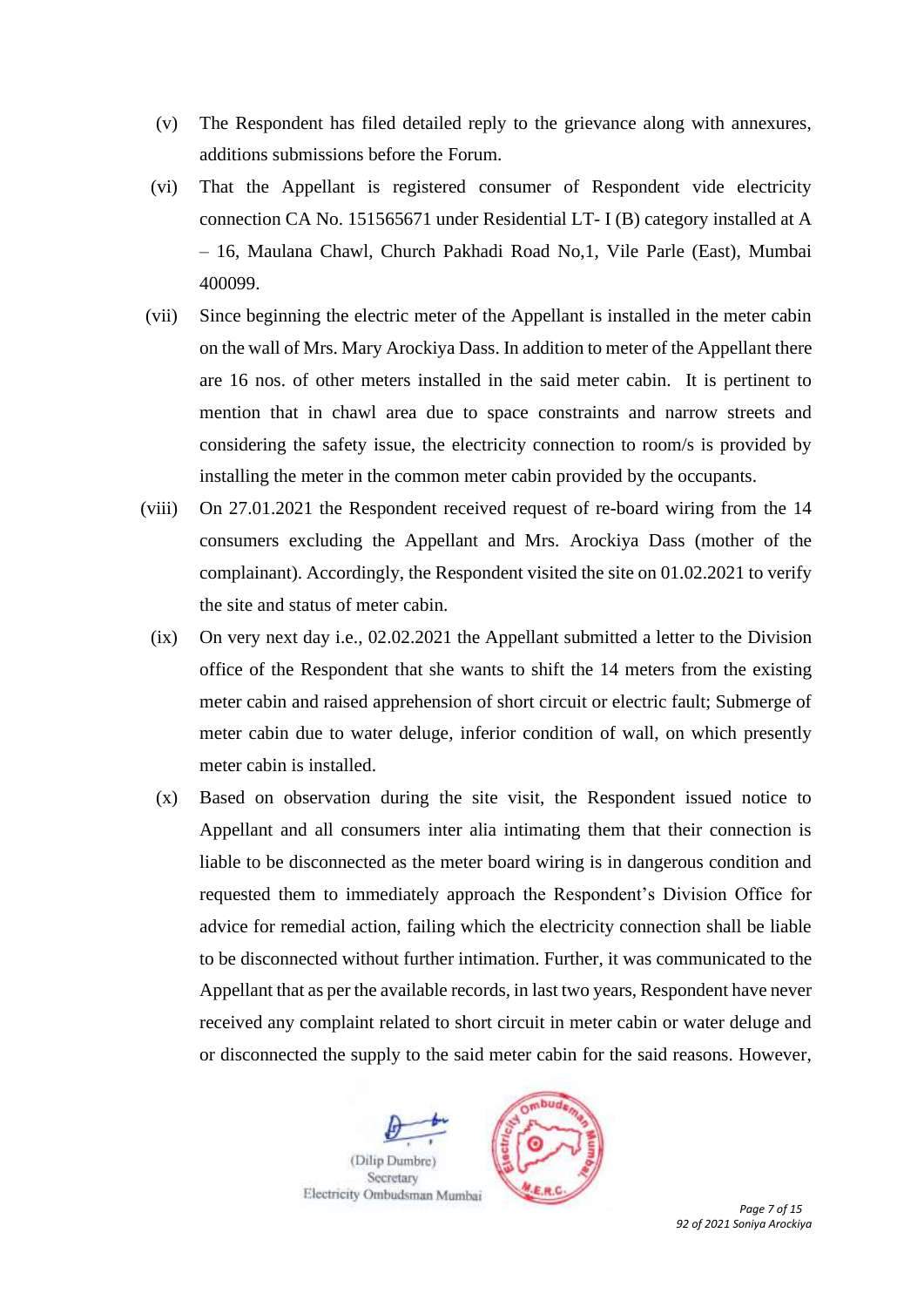- (v) The Respondent has filed detailed reply to the grievance along with annexures, additions submissions before the Forum.
- (vi) That the Appellant is registered consumer of Respondent vide electricity connection CA No. 151565671 under Residential LT- I (B) category installed at A – 16, Maulana Chawl, Church Pakhadi Road No,1, Vile Parle (East), Mumbai 400099.
- (vii) Since beginning the electric meter of the Appellant is installed in the meter cabin on the wall of Mrs. Mary Arockiya Dass. In addition to meter of the Appellant there are 16 nos. of other meters installed in the said meter cabin. It is pertinent to mention that in chawl area due to space constraints and narrow streets and considering the safety issue, the electricity connection to room/s is provided by installing the meter in the common meter cabin provided by the occupants.
- (viii) On 27.01.2021 the Respondent received request of re-board wiring from the 14 consumers excluding the Appellant and Mrs. Arockiya Dass (mother of the complainant). Accordingly, the Respondent visited the site on 01.02.2021 to verify the site and status of meter cabin.
	- (ix) On very next day i.e., 02.02.2021 the Appellant submitted a letter to the Division office of the Respondent that she wants to shift the 14 meters from the existing meter cabin and raised apprehension of short circuit or electric fault; Submerge of meter cabin due to water deluge, inferior condition of wall, on which presently meter cabin is installed.
	- (x) Based on observation during the site visit, the Respondent issued notice to Appellant and all consumers inter alia intimating them that their connection is liable to be disconnected as the meter board wiring is in dangerous condition and requested them to immediately approach the Respondent's Division Office for advice for remedial action, failing which the electricity connection shall be liable to be disconnected without further intimation. Further, it was communicated to the Appellant that as per the available records, in last two years, Respondent have never received any complaint related to short circuit in meter cabin or water deluge and or disconnected the supply to the said meter cabin for the said reasons. However,

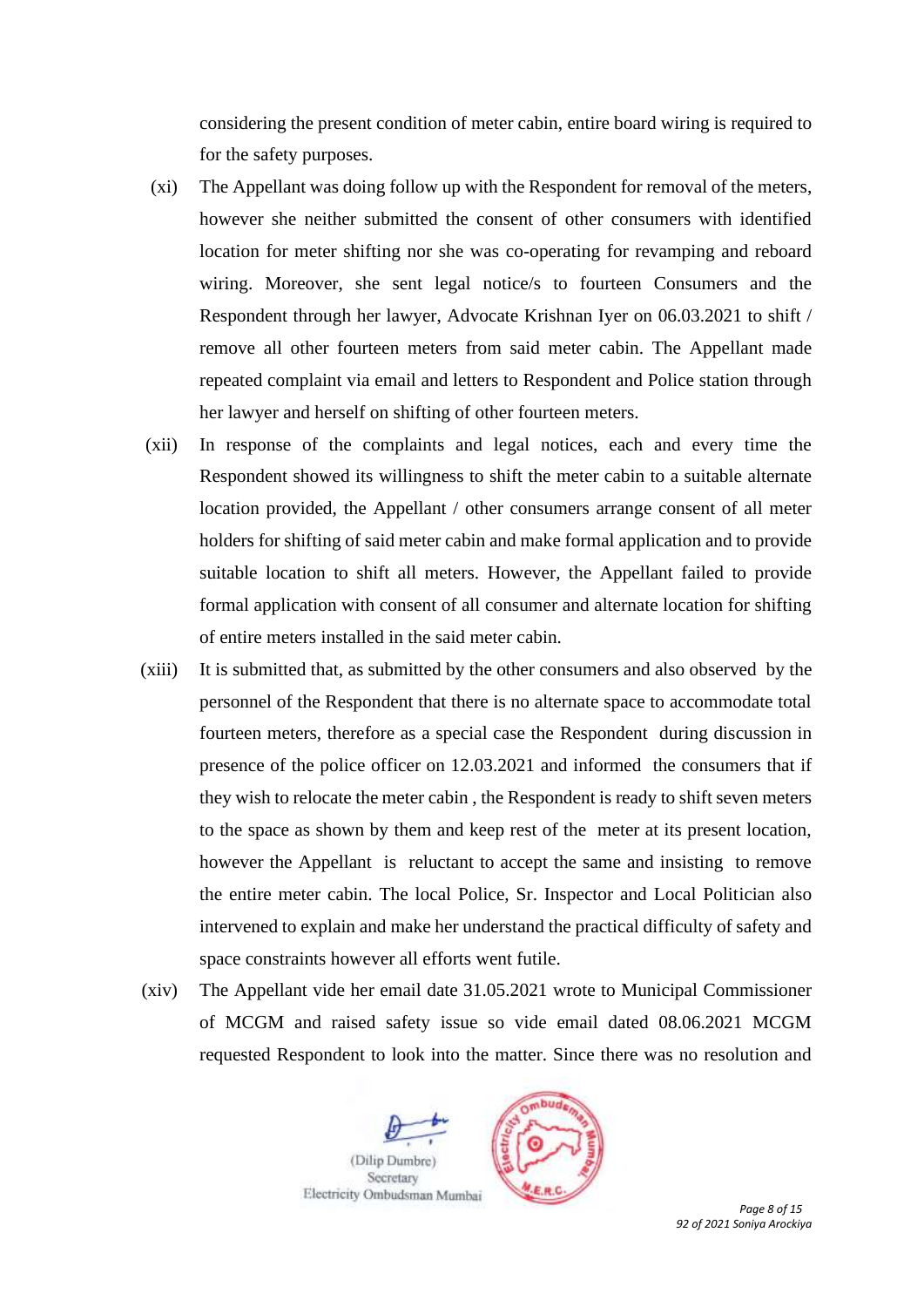considering the present condition of meter cabin, entire board wiring is required to for the safety purposes.

- (xi) The Appellant was doing follow up with the Respondent for removal of the meters, however she neither submitted the consent of other consumers with identified location for meter shifting nor she was co-operating for revamping and reboard wiring. Moreover, she sent legal notice/s to fourteen Consumers and the Respondent through her lawyer, Advocate Krishnan Iyer on 06.03.2021 to shift / remove all other fourteen meters from said meter cabin. The Appellant made repeated complaint via email and letters to Respondent and Police station through her lawyer and herself on shifting of other fourteen meters.
- (xii) In response of the complaints and legal notices, each and every time the Respondent showed its willingness to shift the meter cabin to a suitable alternate location provided, the Appellant / other consumers arrange consent of all meter holders for shifting of said meter cabin and make formal application and to provide suitable location to shift all meters. However, the Appellant failed to provide formal application with consent of all consumer and alternate location for shifting of entire meters installed in the said meter cabin.
- (xiii) It is submitted that, as submitted by the other consumers and also observed by the personnel of the Respondent that there is no alternate space to accommodate total fourteen meters, therefore as a special case the Respondent during discussion in presence of the police officer on 12.03.2021 and informed the consumers that if they wish to relocate the meter cabin , the Respondent is ready to shift seven meters to the space as shown by them and keep rest of the meter at its present location, however the Appellant is reluctant to accept the same and insisting to remove the entire meter cabin. The local Police, Sr. Inspector and Local Politician also intervened to explain and make her understand the practical difficulty of safety and space constraints however all efforts went futile.
- (xiv) The Appellant vide her email date 31.05.2021 wrote to Municipal Commissioner of MCGM and raised safety issue so vide email dated 08.06.2021 MCGM requested Respondent to look into the matter. Since there was no resolution and



*92 of 2021 Soniya Arockiya*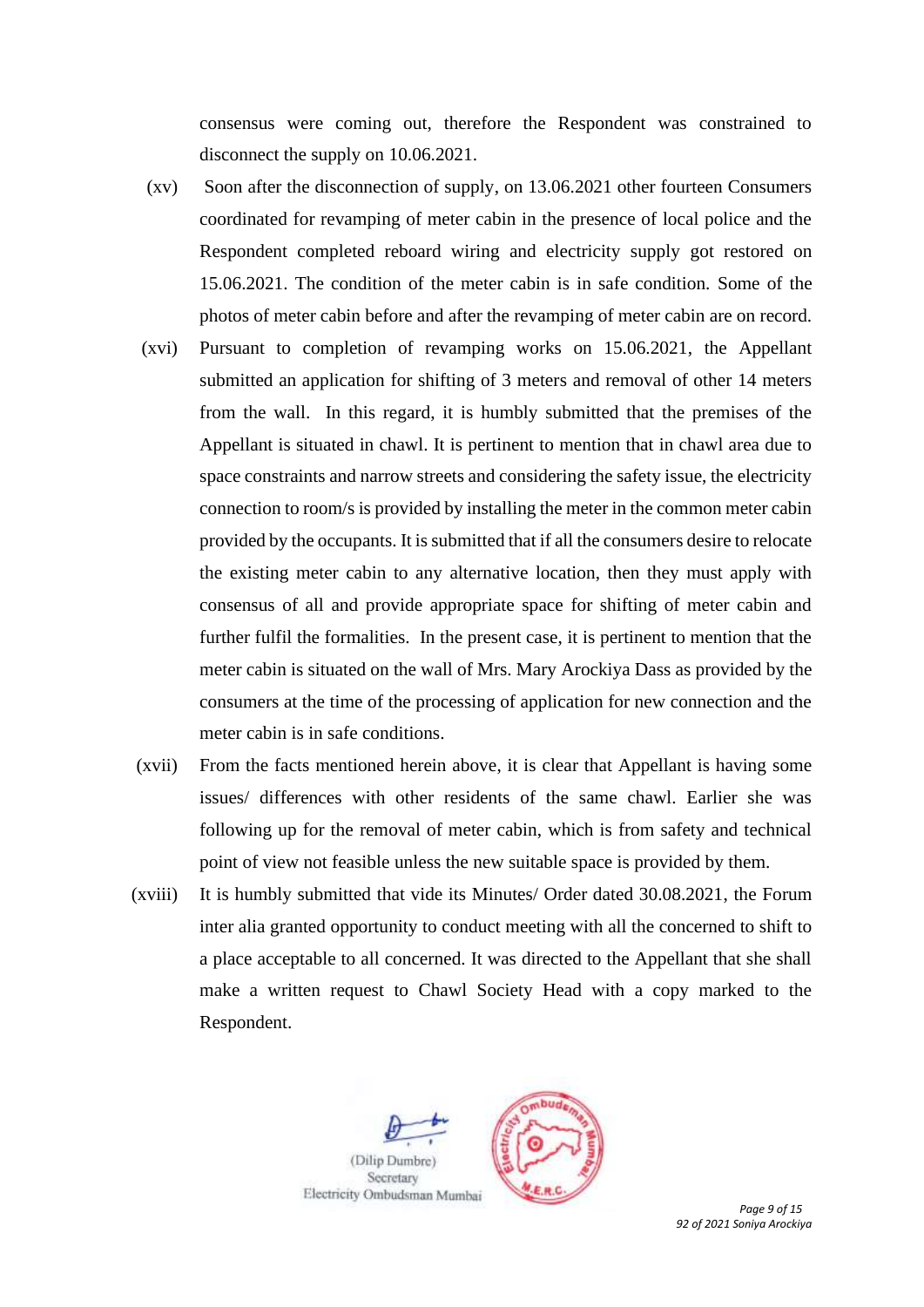consensus were coming out, therefore the Respondent was constrained to disconnect the supply on 10.06.2021.

- (xv) Soon after the disconnection of supply, on 13.06.2021 other fourteen Consumers coordinated for revamping of meter cabin in the presence of local police and the Respondent completed reboard wiring and electricity supply got restored on 15.06.2021. The condition of the meter cabin is in safe condition. Some of the photos of meter cabin before and after the revamping of meter cabin are on record.
- (xvi) Pursuant to completion of revamping works on 15.06.2021, the Appellant submitted an application for shifting of 3 meters and removal of other 14 meters from the wall. In this regard, it is humbly submitted that the premises of the Appellant is situated in chawl. It is pertinent to mention that in chawl area due to space constraints and narrow streets and considering the safety issue, the electricity connection to room/s is provided by installing the meter in the common meter cabin provided by the occupants. It is submitted that if all the consumers desire to relocate the existing meter cabin to any alternative location, then they must apply with consensus of all and provide appropriate space for shifting of meter cabin and further fulfil the formalities. In the present case, it is pertinent to mention that the meter cabin is situated on the wall of Mrs. Mary Arockiya Dass as provided by the consumers at the time of the processing of application for new connection and the meter cabin is in safe conditions.
- (xvii) From the facts mentioned herein above, it is clear that Appellant is having some issues/ differences with other residents of the same chawl. Earlier she was following up for the removal of meter cabin, which is from safety and technical point of view not feasible unless the new suitable space is provided by them.
- (xviii) It is humbly submitted that vide its Minutes/ Order dated 30.08.2021, the Forum inter alia granted opportunity to conduct meeting with all the concerned to shift to a place acceptable to all concerned. It was directed to the Appellant that she shall make a written request to Chawl Society Head with a copy marked to the Respondent.

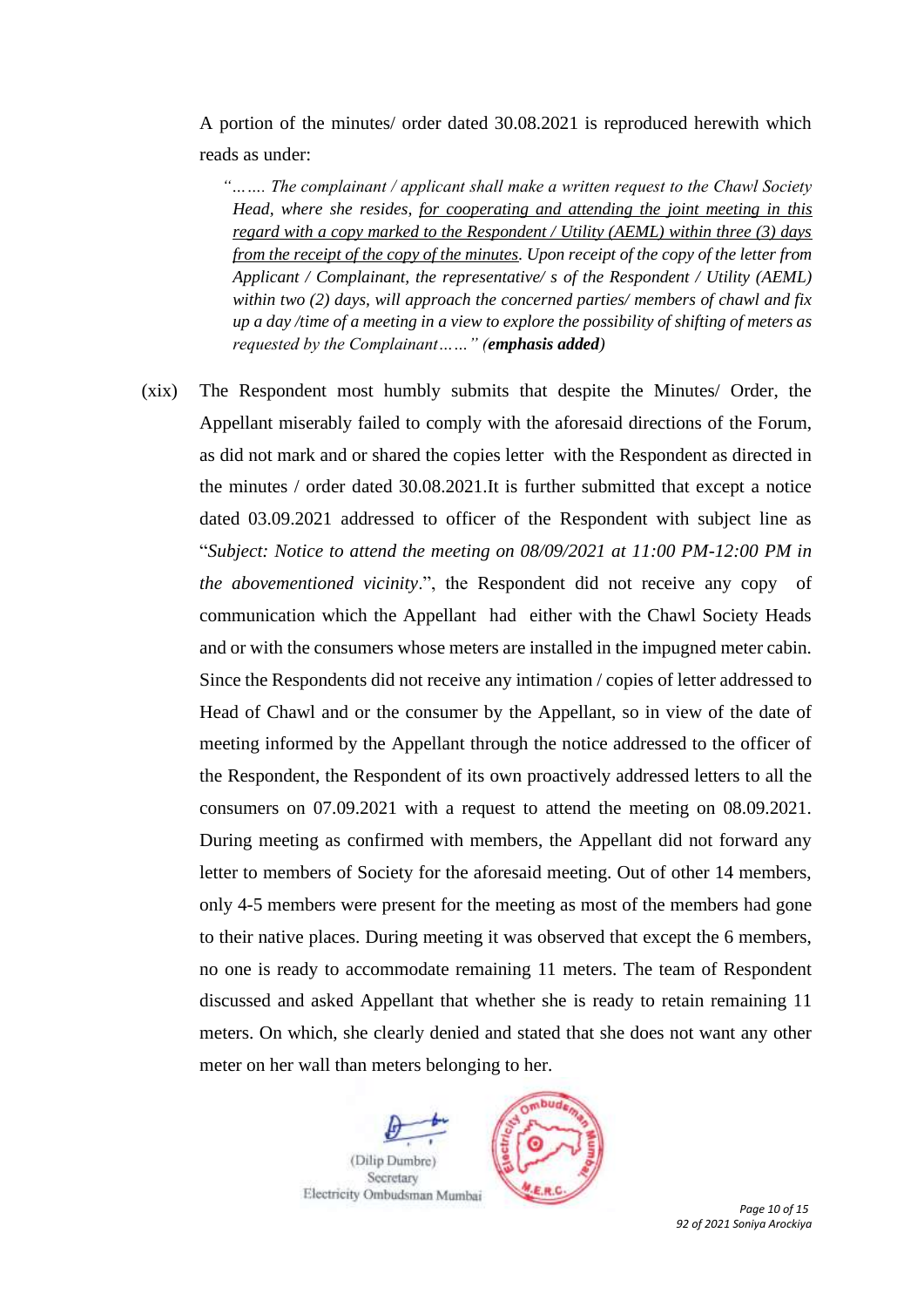A portion of the minutes/ order dated 30.08.2021 is reproduced herewith which reads as under:

*"……. The complainant / applicant shall make a written request to the Chawl Society Head, where she resides, for cooperating and attending the joint meeting in this regard with a copy marked to the Respondent / Utility (AEML) within three (3) days from the receipt of the copy of the minutes. Upon receipt of the copy of the letter from Applicant / Complainant, the representative/ s of the Respondent / Utility (AEML) within two (2) days, will approach the concerned parties/ members of chawl and fix up a day /time of a meeting in a view to explore the possibility of shifting of meters as requested by the Complainant……" (emphasis added)*

(xix) The Respondent most humbly submits that despite the Minutes/ Order, the Appellant miserably failed to comply with the aforesaid directions of the Forum, as did not mark and or shared the copies letter with the Respondent as directed in the minutes / order dated 30.08.2021.It is further submitted that except a notice dated 03.09.2021 addressed to officer of the Respondent with subject line as "*Subject: Notice to attend the meeting on 08/09/2021 at 11:00 PM-12:00 PM in the abovementioned vicinity*.", the Respondent did not receive any copy of communication which the Appellant had either with the Chawl Society Heads and or with the consumers whose meters are installed in the impugned meter cabin. Since the Respondents did not receive any intimation / copies of letter addressed to Head of Chawl and or the consumer by the Appellant, so in view of the date of meeting informed by the Appellant through the notice addressed to the officer of the Respondent, the Respondent of its own proactively addressed letters to all the consumers on 07.09.2021 with a request to attend the meeting on 08.09.2021. During meeting as confirmed with members, the Appellant did not forward any letter to members of Society for the aforesaid meeting. Out of other 14 members, only 4-5 members were present for the meeting as most of the members had gone to their native places. During meeting it was observed that except the 6 members, no one is ready to accommodate remaining 11 meters. The team of Respondent discussed and asked Appellant that whether she is ready to retain remaining 11 meters. On which, she clearly denied and stated that she does not want any other meter on her wall than meters belonging to her.

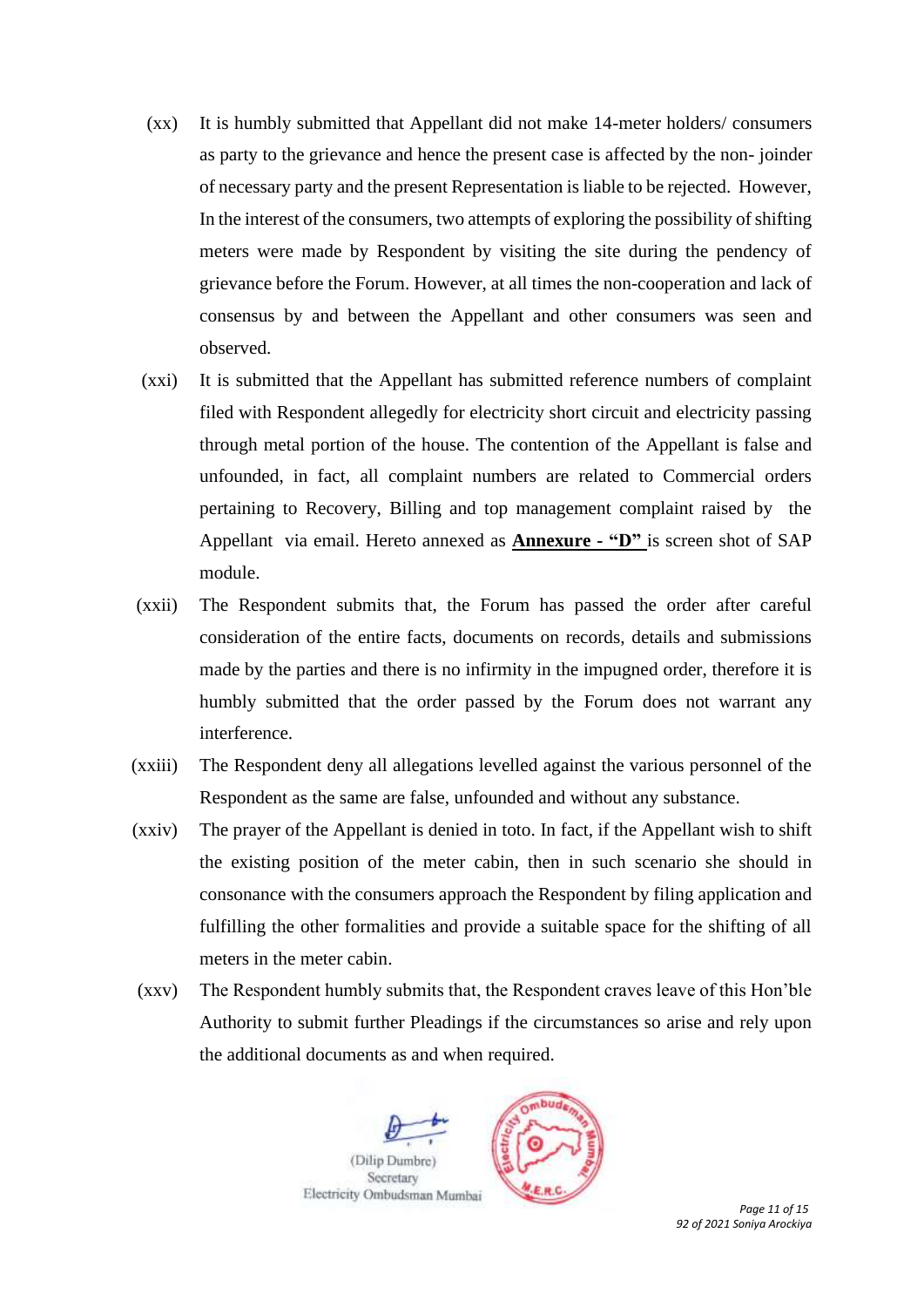- (xx) It is humbly submitted that Appellant did not make 14-meter holders/ consumers as party to the grievance and hence the present case is affected by the non- joinder of necessary party and the present Representation is liable to be rejected. However, In the interest of the consumers, two attempts of exploring the possibility of shifting meters were made by Respondent by visiting the site during the pendency of grievance before the Forum. However, at all times the non-cooperation and lack of consensus by and between the Appellant and other consumers was seen and observed.
- (xxi) It is submitted that the Appellant has submitted reference numbers of complaint filed with Respondent allegedly for electricity short circuit and electricity passing through metal portion of the house. The contention of the Appellant is false and unfounded, in fact, all complaint numbers are related to Commercial orders pertaining to Recovery, Billing and top management complaint raised by the Appellant via email. Hereto annexed as **Annexure - "D"** is screen shot of SAP module.
- (xxii) The Respondent submits that, the Forum has passed the order after careful consideration of the entire facts, documents on records, details and submissions made by the parties and there is no infirmity in the impugned order, therefore it is humbly submitted that the order passed by the Forum does not warrant any interference.
- (xxiii) The Respondent deny all allegations levelled against the various personnel of the Respondent as the same are false, unfounded and without any substance.
- (xxiv) The prayer of the Appellant is denied in toto. In fact, if the Appellant wish to shift the existing position of the meter cabin, then in such scenario she should in consonance with the consumers approach the Respondent by filing application and fulfilling the other formalities and provide a suitable space for the shifting of all meters in the meter cabin.
- (xxv) The Respondent humbly submits that, the Respondent craves leave of this Hon'ble Authority to submit further Pleadings if the circumstances so arise and rely upon the additional documents as and when required.

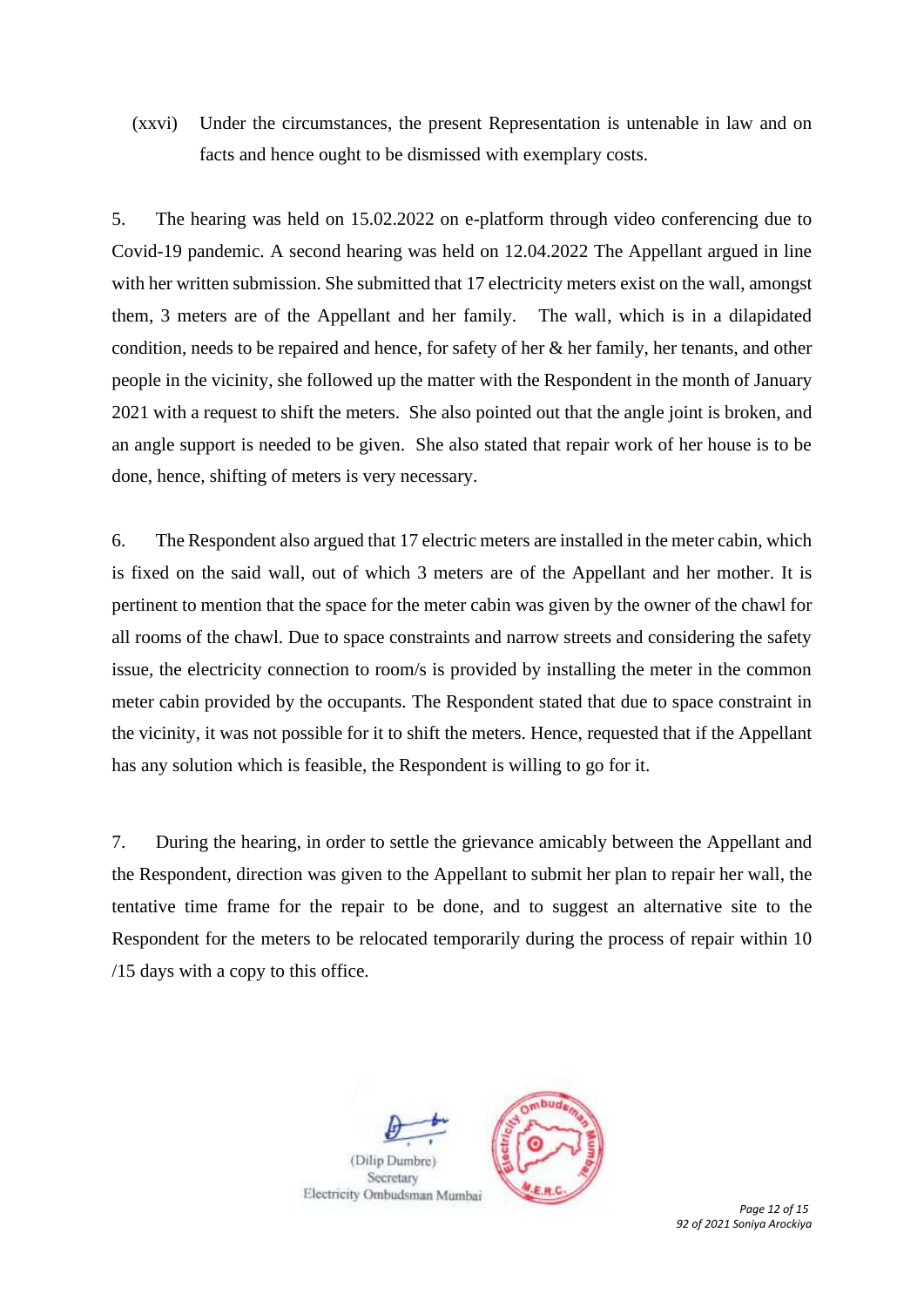(xxvi) Under the circumstances, the present Representation is untenable in law and on facts and hence ought to be dismissed with exemplary costs.

5. The hearing was held on 15.02.2022 on e-platform through video conferencing due to Covid-19 pandemic. A second hearing was held on 12.04.2022 The Appellant argued in line with her written submission. She submitted that 17 electricity meters exist on the wall, amongst them, 3 meters are of the Appellant and her family. The wall, which is in a dilapidated condition, needs to be repaired and hence, for safety of her & her family, her tenants, and other people in the vicinity, she followed up the matter with the Respondent in the month of January 2021 with a request to shift the meters. She also pointed out that the angle joint is broken, and an angle support is needed to be given. She also stated that repair work of her house is to be done, hence, shifting of meters is very necessary.

6. The Respondent also argued that 17 electric meters are installed in the meter cabin, which is fixed on the said wall, out of which 3 meters are of the Appellant and her mother. It is pertinent to mention that the space for the meter cabin was given by the owner of the chawl for all rooms of the chawl. Due to space constraints and narrow streets and considering the safety issue, the electricity connection to room/s is provided by installing the meter in the common meter cabin provided by the occupants. The Respondent stated that due to space constraint in the vicinity, it was not possible for it to shift the meters. Hence, requested that if the Appellant has any solution which is feasible, the Respondent is willing to go for it.

7. During the hearing, in order to settle the grievance amicably between the Appellant and the Respondent, direction was given to the Appellant to submit her plan to repair her wall, the tentative time frame for the repair to be done, and to suggest an alternative site to the Respondent for the meters to be relocated temporarily during the process of repair within 10 /15 days with a copy to this office.

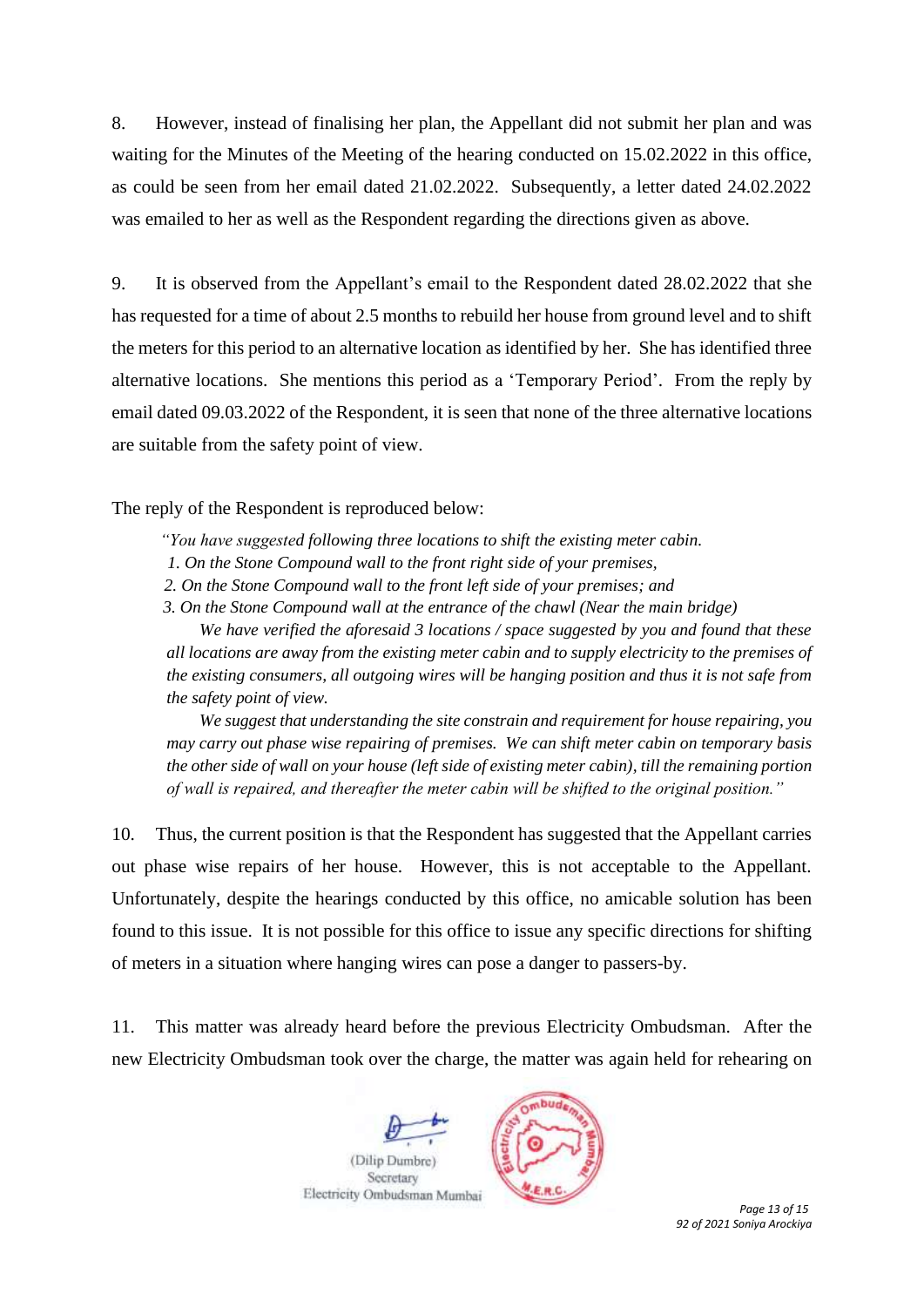8. However, instead of finalising her plan, the Appellant did not submit her plan and was waiting for the Minutes of the Meeting of the hearing conducted on 15.02.2022 in this office, as could be seen from her email dated 21.02.2022. Subsequently, a letter dated 24.02.2022 was emailed to her as well as the Respondent regarding the directions given as above.

9. It is observed from the Appellant's email to the Respondent dated 28.02.2022 that she has requested for a time of about 2.5 months to rebuild her house from ground level and to shift the meters for this period to an alternative location as identified by her. She has identified three alternative locations. She mentions this period as a 'Temporary Period'. From the reply by email dated 09.03.2022 of the Respondent, it is seen that none of the three alternative locations are suitable from the safety point of view.

The reply of the Respondent is reproduced below:

*"You have suggested following three locations to shift the existing meter cabin.* 

*1. On the Stone Compound wall to the front right side of your premises,*

 *2. On the Stone Compound wall to the front left side of your premises; and*

 *3. On the Stone Compound wall at the entrance of the chawl (Near the main bridge)*

*We have verified the aforesaid 3 locations / space suggested by you and found that these all locations are away from the existing meter cabin and to supply electricity to the premises of the existing consumers, all outgoing wires will be hanging position and thus it is not safe from the safety point of view.* 

*We suggest that understanding the site constrain and requirement for house repairing, you may carry out phase wise repairing of premises. We can shift meter cabin on temporary basis the other side of wall on your house (left side of existing meter cabin), till the remaining portion of wall is repaired, and thereafter the meter cabin will be shifted to the original position."*

10. Thus, the current position is that the Respondent has suggested that the Appellant carries out phase wise repairs of her house. However, this is not acceptable to the Appellant. Unfortunately, despite the hearings conducted by this office, no amicable solution has been found to this issue. It is not possible for this office to issue any specific directions for shifting of meters in a situation where hanging wires can pose a danger to passers-by.

11. This matter was already heard before the previous Electricity Ombudsman. After the new Electricity Ombudsman took over the charge, the matter was again held for rehearing on

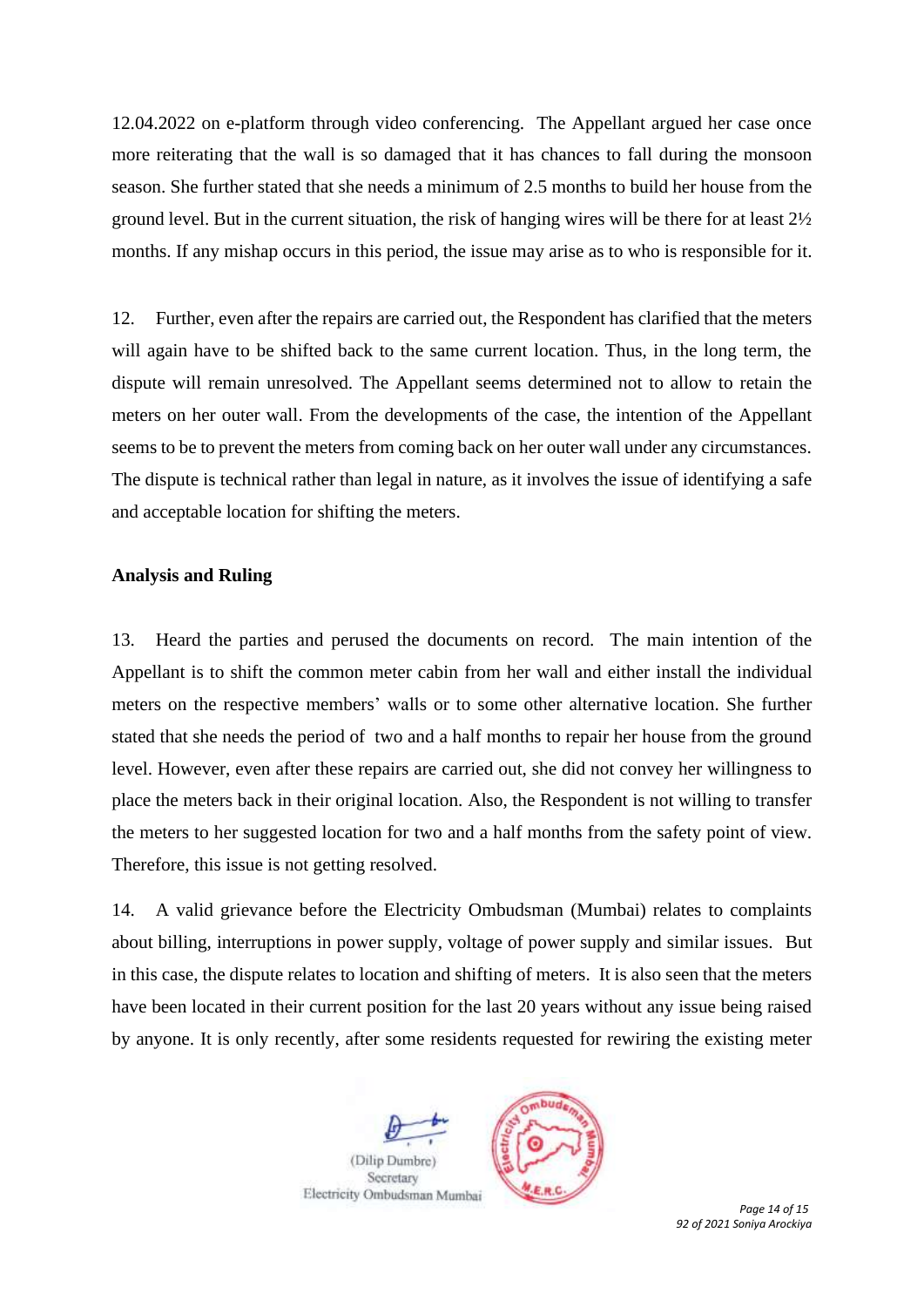12.04.2022 on e-platform through video conferencing. The Appellant argued her case once more reiterating that the wall is so damaged that it has chances to fall during the monsoon season. She further stated that she needs a minimum of 2.5 months to build her house from the ground level. But in the current situation, the risk of hanging wires will be there for at least 2½ months. If any mishap occurs in this period, the issue may arise as to who is responsible for it.

12. Further, even after the repairs are carried out, the Respondent has clarified that the meters will again have to be shifted back to the same current location. Thus, in the long term, the dispute will remain unresolved. The Appellant seems determined not to allow to retain the meters on her outer wall. From the developments of the case, the intention of the Appellant seems to be to prevent the meters from coming back on her outer wall under any circumstances. The dispute is technical rather than legal in nature, as it involves the issue of identifying a safe and acceptable location for shifting the meters.

## **Analysis and Ruling**

13. Heard the parties and perused the documents on record. The main intention of the Appellant is to shift the common meter cabin from her wall and either install the individual meters on the respective members' walls or to some other alternative location. She further stated that she needs the period of two and a half months to repair her house from the ground level. However, even after these repairs are carried out, she did not convey her willingness to place the meters back in their original location. Also, the Respondent is not willing to transfer the meters to her suggested location for two and a half months from the safety point of view. Therefore, this issue is not getting resolved.

14. A valid grievance before the Electricity Ombudsman (Mumbai) relates to complaints about billing, interruptions in power supply, voltage of power supply and similar issues. But in this case, the dispute relates to location and shifting of meters. It is also seen that the meters have been located in their current position for the last 20 years without any issue being raised by anyone. It is only recently, after some residents requested for rewiring the existing meter